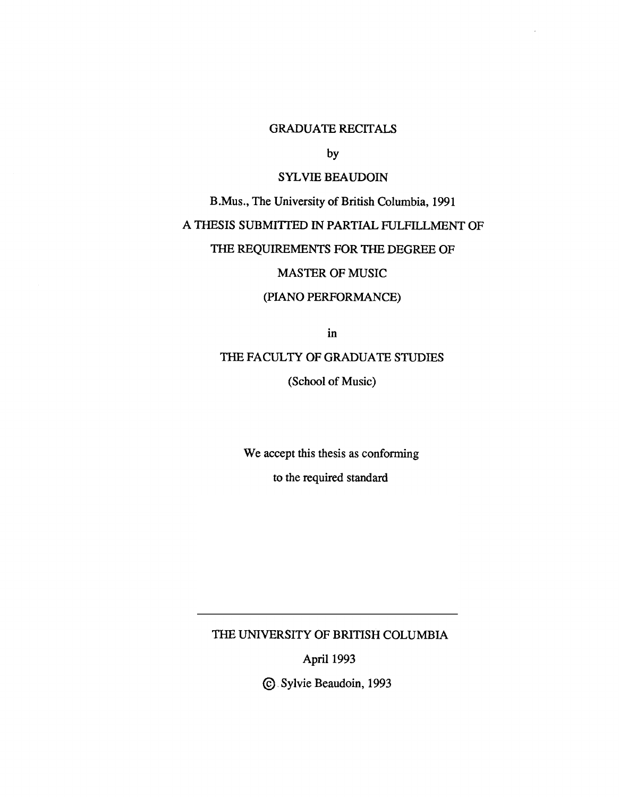# GRADUATE RECITALS

by

# SYLVIE BEAUDOIN

B.Mus., The University of British Columbia, 1991

# A THESIS SUBMITTED IN PARTIAL FULFILLMENT OF

# THE REQUIREMENTS FOR THE DEGREE OF

## MASTER OF MUSIC

# (PIANO PERFORMANCE)

in

# THE FACULTY OF GRADUATE STUDIES

(School of Music)

We accept this thesis as conforming

to the required standard

THE UNIVERSITY OF BRITISH COLUMBIA

April 1993

Sylvie Beaudoin, 1993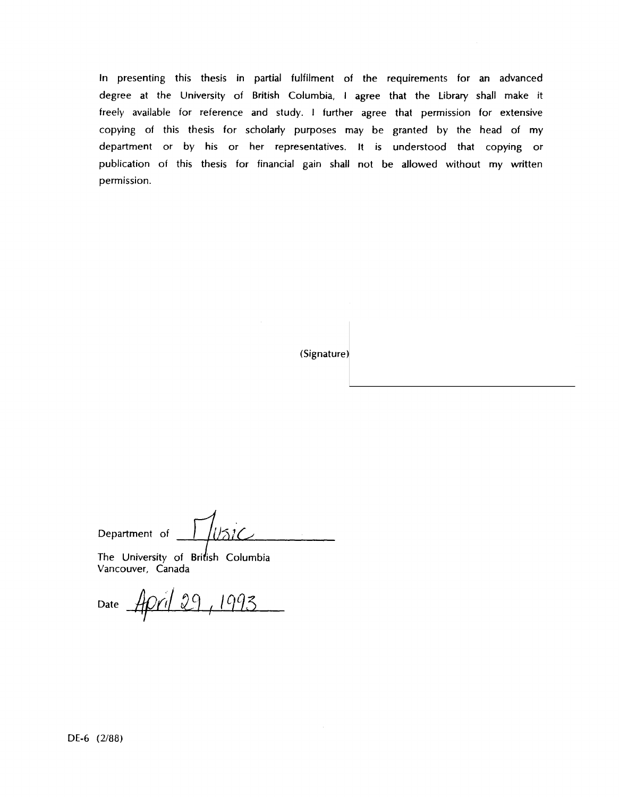In presenting this thesis in partial fulfilment of the requirements for an advanced degree at the University of British Columbia, I agree that the Library shall make it freely available for reference and study. I further agree that permission for extensive copying of this thesis for scholarly purposes may be granted by the head of my department or by his or her representatives. It is understood that copying or publication of this thesis for financial gain shall not be allowed without my written permission.

(Signature)

lusic Department of

The University of British Columbia Vancouver, Canada

Date April 29, 1993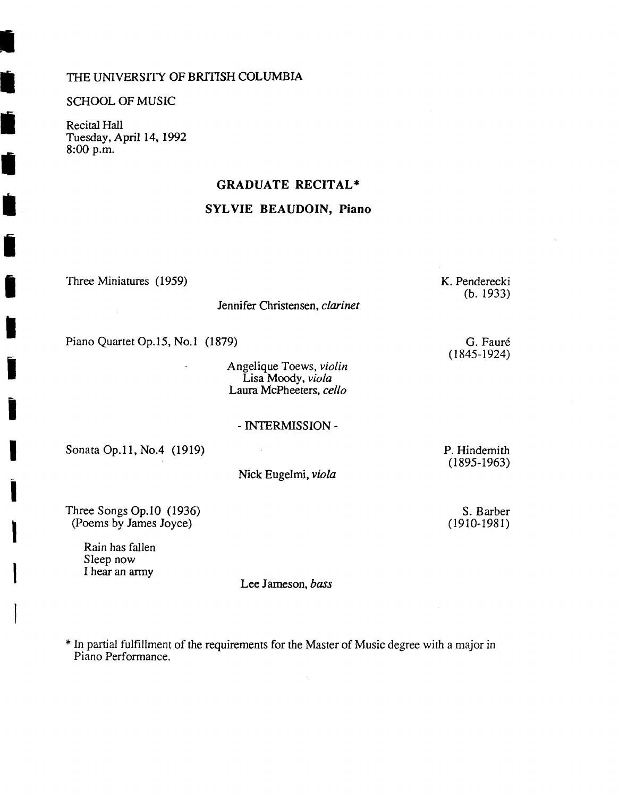### THE UNIVERSITY OF BRITISH COLUMBIA

#### SCHOOL OF MUSIC

Ź

Recital Hall Tuesday, April 14, 1992 8:00 p.m.

## **GRADUATE RECITAL\***

## **SYLVIE BEAUDOIN, Piano**

Three Miniatures (1959)

Jennifer Christensen, *clarinet*

Piano Quartet Op.15, No.1 (1879)

Angelique Toews, *violin* Lisa Moody, *viola* Laura McPheeters, *cello*

#### - INTERMISSION -

Sonata Op.11, No.4 (1919)

Nick Eugelmi, *viola*

 $\mathcal{L}$ 

P. Hindemith (1895-1963)

Three Songs Op.10 (1936) (Poems by James Joyce)

> Rain has fallen Sleep now I hear an army

Lee Jameson, *bass*

\* In partial fulfillment of the requirements for the Master of Music degree with a major in Piano Performance.

K. Penderecki (b. 1933)

> G. Faure (1845-1924)

S. Barber (1910-1981)